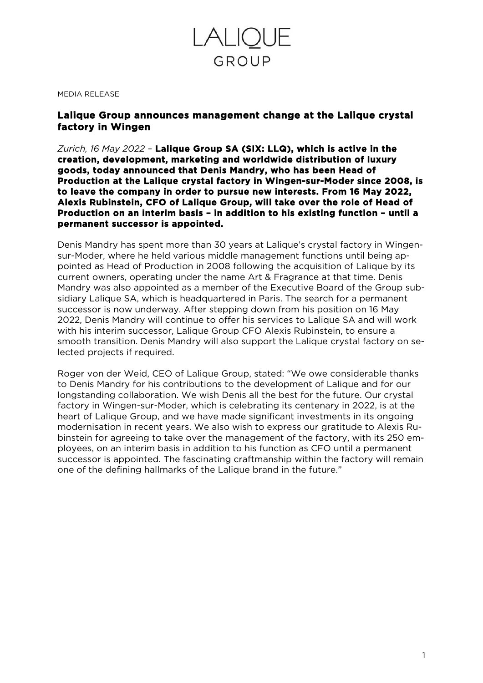

#### MEDIA RELEASE

### **Lalique Group announces management change at the Lalique crystal factory in Wingen**

*Zurich, 16 May 2022 –* **Lalique Group SA (SIX: LLQ), which is active in the creation, development, marketing and worldwide distribution of luxury goods, today announced that Denis Mandry, who has been Head of Production at the Lalique crystal factory in Wingen-sur-Moder since 2008, is to leave the company in order to pursue new interests. From 16 May 2022, Alexis Rubinstein, CFO of Lalique Group, will take over the role of Head of Production on an interim basis – in addition to his existing function – until a permanent successor is appointed.** 

Denis Mandry has spent more than 30 years at Lalique's crystal factory in Wingensur-Moder, where he held various middle management functions until being appointed as Head of Production in 2008 following the acquisition of Lalique by its current owners, operating under the name Art & Fragrance at that time. Denis Mandry was also appointed as a member of the Executive Board of the Group subsidiary Lalique SA, which is headquartered in Paris. The search for a permanent successor is now underway. After stepping down from his position on 16 May 2022, Denis Mandry will continue to offer his services to Lalique SA and will work with his interim successor, Lalique Group CFO Alexis Rubinstein, to ensure a smooth transition. Denis Mandry will also support the Lalique crystal factory on selected projects if required.

Roger von der Weid, CEO of Lalique Group, stated: "We owe considerable thanks to Denis Mandry for his contributions to the development of Lalique and for our longstanding collaboration. We wish Denis all the best for the future. Our crystal factory in Wingen-sur-Moder, which is celebrating its centenary in 2022, is at the heart of Lalique Group, and we have made significant investments in its ongoing modernisation in recent years. We also wish to express our gratitude to Alexis Rubinstein for agreeing to take over the management of the factory, with its 250 employees, on an interim basis in addition to his function as CFO until a permanent successor is appointed. The fascinating craftmanship within the factory will remain one of the defining hallmarks of the Lalique brand in the future."